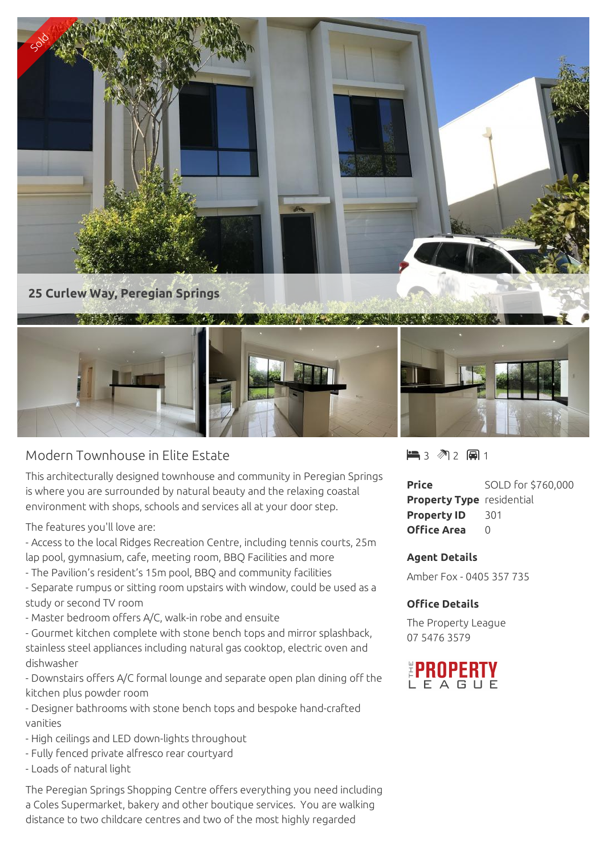

## Modern Townhouse in Elite Estate

This architecturally designed townhouse and community in Peregian Springs is where you are surrounded by natural beauty and the relaxing coastal environment with shops, schools and services all at your door step.

The features you'll love are:

- Access to the local Ridges Recreation Centre, including tennis courts, 25m lap pool, gymnasium, cafe, meeting room, BBQ Facilities and more

- The Pavilion's resident's 15m pool, BBQ and community facilities
- Separate rumpus or sitting room upstairs with window, could be used as a study or second TV room
- Master bedroom offers A/C, walk-in robe and ensuite
- Gourmet kitchen complete with stone bench tops and mirror splashback, stainless steel appliances including natural gas cooktop, electric oven and dishwasher

- Downstairs offers A/C formal lounge and separate open plan dining off the kitchen plus powder room

- Designer bathrooms with stone bench tops and bespoke hand-crafted vanities

- High ceilings and LED down-lights throughout
- Fully fenced private alfresco rear courtyard
- Loads of natural light

The Peregian Springs Shopping Centre offers everything you need including a Coles Supermarket, bakery and other boutique services. You are walking distance to two childcare centres and two of the most highly regarded

 $-3$   $2$   $-1$ 

| <b>Price</b>                     | SOLD for \$760,000 |
|----------------------------------|--------------------|
| <b>Property Type</b> residential |                    |
| <b>Property ID</b>               | -301               |
| <b>Office Area</b>               | $\cap$             |

## **Agent Details**

Amber Fox - 0405 357 735

## **Office Details**

The Property League 07 5476 3579